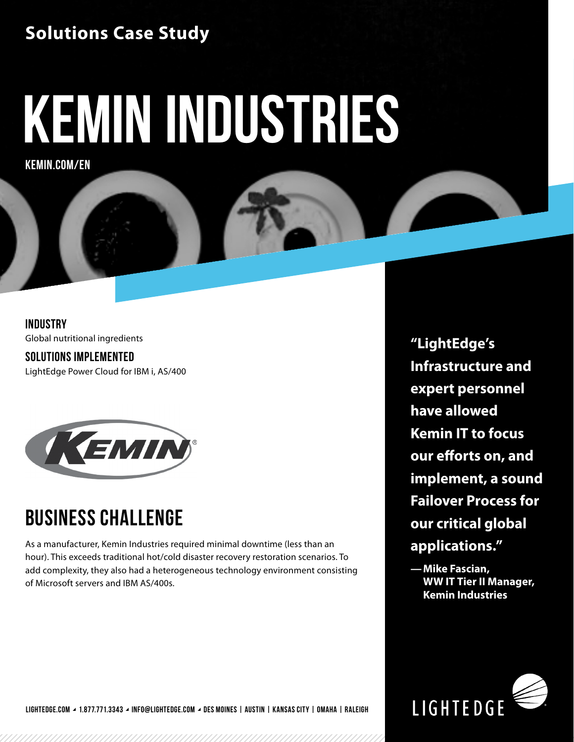#### **Solutions Case Study**

# **kemin industries**

**KEMIN.COM/EN**

**INDUSTRY** Global nutritional ingredients

**SOLUTIONS IMPLEMENTED** LightEdge Power Cloud for IBM i, AS/400



## **BUSINESS CHALLENGE**

As a manufacturer, Kemin Industries required minimal downtime (less than an hour). This exceeds traditional hot/cold disaster recovery restoration scenarios. To add complexity, they also had a heterogeneous technology environment consisting of Microsoft servers and IBM AS/400s.

**"LightEdge's Infrastructure and expert personnel have allowed Kemin IT to focus our efforts on, and implement, a sound Failover Process for our critical global applications."** 

**—Mike Fascian, WW IT Tier II Manager, Kemin Industries**